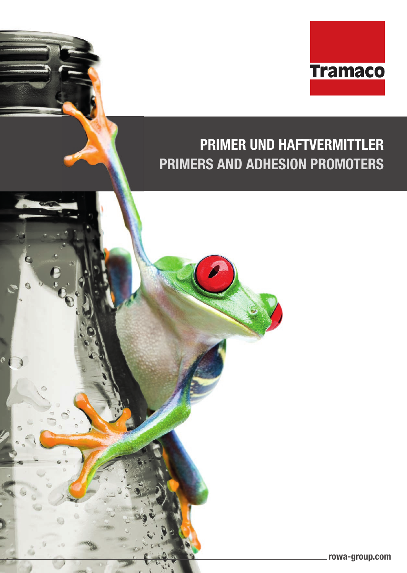

# **PRIMER UND HAFTVERMITTLER PRIMERS AND ADHESION PROMOTERS**

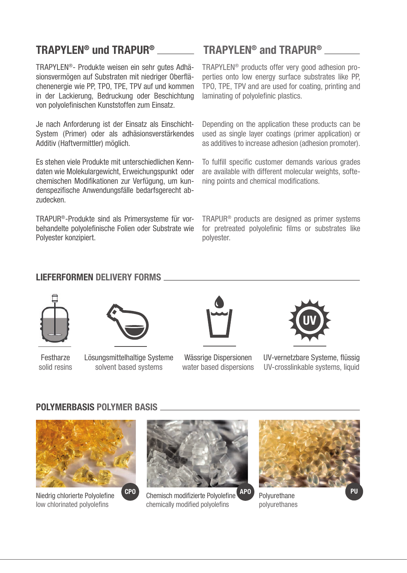## **TRAPYLEN® und TRAPUR®**

TRAPYLEN®- Produkte weisen ein sehr gutes Adhäsionsvermögen auf Substraten mit niedriger Oberflächenenergie wie PP, TPO, TPE, TPV auf und kommen in der Lackierung, Bedruckung oder Beschichtung von polyolefinischen Kunststoffen zum Einsatz.

Je nach Anforderung ist der Einsatz als Einschicht-System (Primer) oder als adhäsionsverstärkendes Additiv (Haftvermittler) möglich.

Es stehen viele Produkte mit unterschiedlichen Kenndaten wie Molekulargewicht, Erweichungspunkt oder chemischen Modifikationen zur Verfügung, um kundenspezifische Anwendungsfälle bedarfsgerecht abzudecken.

TRAPUR®-Produkte sind als Primersysteme für vorbehandelte polyolefinische Folien oder Substrate wie Polyester konzipiert.

## **TRAPYLEN® and TRAPUR®**

TRAPYLEN® products offer very good adhesion properties onto low energy surface substrates like PP, TPO, TPE, TPV and are used for coating, printing and laminating of polyolefinic plastics.

Depending on the application these products can be used as single layer coatings (primer application) or as additives to increase adhesion (adhesion promoter).

To fulfill specific customer demands various grades are available with different molecular weights, softening points and chemical modifications.

TRAPUR® products are designed as primer systems for pretreated polyolefinic films or substrates like polyester.

### **LIEFERFORMEN DELIVERY FORMS**



**Festharze** solid resins



Lösungsmittelhaltige Systeme solvent based systems



Wässrige Dispersionen water based dispersions



UV-vernetzbare Systeme, flüssig UV-crosslinkable systems, liquid

#### **POLYMERBASIS POLYMER BASIS**



Niedrig chlorierte Polyolefine low chlorinated polyolefins



Chemisch modifi zierte Polyolefi ne **CPO APO PU** chemically modified polyolefins



Polyurethane polyurethanes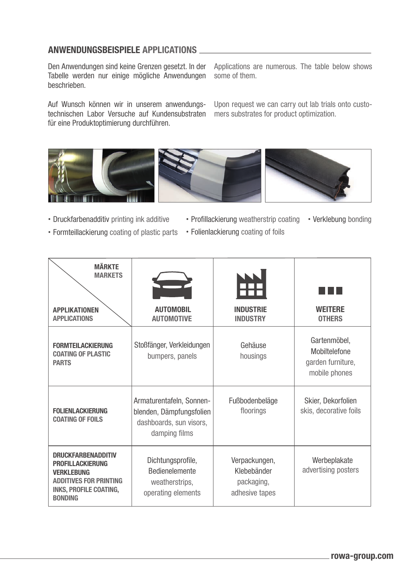#### **ANWENDUNGSBEISPIELE APPLICATIONS**

Den Anwendungen sind keine Grenzen gesetzt. In der Tabelle werden nur einige mögliche Anwendungen beschrieben.

Auf Wunsch können wir in unserem anwendungstechnischen Labor Versuche auf Kundensubstraten für eine Produktoptimierung durchführen.

Applications are numerous. The table below shows some of them.

Upon request we can carry out lab trials onto customers substrates for product optimization.



- Druckfarbenadditiv printing ink additive
- Profillackierung weatherstrip coating Verklebung bonding
- Formteillackierung coating of plastic parts
- Folienlackierung coating of foils

| <b>MÄRKTE</b><br><b>MARKETS</b>                                                                                                                               |                                                                                                  |                                                              |                                                                     |
|---------------------------------------------------------------------------------------------------------------------------------------------------------------|--------------------------------------------------------------------------------------------------|--------------------------------------------------------------|---------------------------------------------------------------------|
| <b>APPLIKATIONEN</b><br><b>APPLICATIONS</b>                                                                                                                   | <b>AUTOMOBIL</b><br><b>AUTOMOTIVE</b>                                                            | <b>INDUSTRIE</b><br><b>INDUSTRY</b>                          | <b>WEITERE</b><br><b>OTHERS</b>                                     |
| <b>FORMTEILACKIERUNG</b><br><b>COATING OF PLASTIC</b><br><b>PARTS</b>                                                                                         | Stoßfänger, Verkleidungen<br>bumpers, panels                                                     | Gehäuse<br>housings                                          | Gartenmöbel,<br>Mobiltelefone<br>garden furniture,<br>mobile phones |
| <b>FOLIENLACKIERUNG</b><br><b>COATING OF FOILS</b>                                                                                                            | Armaturentafeln, Sonnen-<br>blenden, Dämpfungsfolien<br>dashboards, sun visors,<br>damping films | Fußbodenbeläge<br>floorings                                  | Skier, Dekorfolien<br>skis, decorative foils                        |
| <b>DRUCKFARBENADDITIV</b><br><b>PROFILLACKIERUNG</b><br><b>VERKLEBUNG</b><br><b>ADDITIVES FOR PRINTING</b><br><b>INKS, PROFILE COATING,</b><br><b>BONDING</b> | Dichtungsprofile,<br><b>Bedienelemente</b><br>weatherstrips,<br>operating elements               | Verpackungen,<br>Klebebänder<br>packaging,<br>adhesive tapes | Werbeplakate<br>advertising posters                                 |